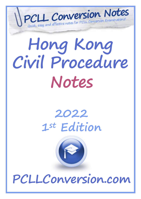

# **Hong Kong Civil Procedure Notes**

# **2022 1st Edition**



**PCLLConversion.com**

 $\mathcal{C}^{\text{max}}$  and  $\mathcal{C}^{\text{max}}$  and  $\mathcal{C}^{\text{max}}$  and  $\mathcal{C}^{\text{max}}$  and  $\mathcal{C}^{\text{max}}$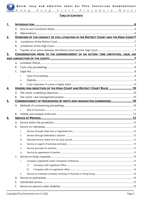Quick, easy and effective notes for PCLL Conversion Examinations! Hong Kong Civil Procedure Notes

#### **TABLE OF CONTENTS**

| 1.        |                      |                                                                                              |  |  |  |  |  |  |  |  |  |
|-----------|----------------------|----------------------------------------------------------------------------------------------|--|--|--|--|--|--|--|--|--|
|           | $\mathsf{A}_{\cdot}$ |                                                                                              |  |  |  |  |  |  |  |  |  |
|           | B.                   |                                                                                              |  |  |  |  |  |  |  |  |  |
| <u>2.</u> |                      | <b>OVERVIEW OF THE CONDUCT OF CIVIL LITIGATION IN THE DISTRICT COURT AND THE HIGH COURT7</b> |  |  |  |  |  |  |  |  |  |
|           | Α.                   |                                                                                              |  |  |  |  |  |  |  |  |  |
|           | <b>B.</b>            |                                                                                              |  |  |  |  |  |  |  |  |  |
|           | $\mathsf{C}$         |                                                                                              |  |  |  |  |  |  |  |  |  |
| 3.        |                      | CONSIDERATION PRIOR TO THE COMMENCEMENT OF AN ACTION: TIME LIMITATION, LEGAL AID             |  |  |  |  |  |  |  |  |  |
|           |                      |                                                                                              |  |  |  |  |  |  |  |  |  |
|           | $\mathsf{A}_{\cdot}$ |                                                                                              |  |  |  |  |  |  |  |  |  |
|           | <b>B.</b>            |                                                                                              |  |  |  |  |  |  |  |  |  |
|           | C.                   |                                                                                              |  |  |  |  |  |  |  |  |  |
|           |                      | i.                                                                                           |  |  |  |  |  |  |  |  |  |
|           |                      | ii.                                                                                          |  |  |  |  |  |  |  |  |  |
|           |                      | iii.                                                                                         |  |  |  |  |  |  |  |  |  |
| <u>4.</u> |                      | UNDERLYING OBJECTIVES OF THE HIGH COURT AND DISTRICT COURT RULES  10                         |  |  |  |  |  |  |  |  |  |
|           | $\mathsf{A}_{\cdot}$ |                                                                                              |  |  |  |  |  |  |  |  |  |
|           | <b>B.</b>            |                                                                                              |  |  |  |  |  |  |  |  |  |
| 5.        |                      | <b>COMMENCEMENT OF PROCEEDINGS BY WRITS AND ORIGINATING SUMMONSES 10</b>                     |  |  |  |  |  |  |  |  |  |
|           |                      |                                                                                              |  |  |  |  |  |  |  |  |  |
|           |                      | $i$ .                                                                                        |  |  |  |  |  |  |  |  |  |
|           | В.                   |                                                                                              |  |  |  |  |  |  |  |  |  |
| 6.        |                      |                                                                                              |  |  |  |  |  |  |  |  |  |
|           | А.                   |                                                                                              |  |  |  |  |  |  |  |  |  |
|           | <b>B.</b>            |                                                                                              |  |  |  |  |  |  |  |  |  |
|           |                      | i.                                                                                           |  |  |  |  |  |  |  |  |  |
|           |                      | ii.                                                                                          |  |  |  |  |  |  |  |  |  |
|           |                      | iii.                                                                                         |  |  |  |  |  |  |  |  |  |
|           |                      | iv.                                                                                          |  |  |  |  |  |  |  |  |  |
|           |                      | v.                                                                                           |  |  |  |  |  |  |  |  |  |
|           |                      | vi.                                                                                          |  |  |  |  |  |  |  |  |  |
|           | C.                   |                                                                                              |  |  |  |  |  |  |  |  |  |
|           |                      | i.                                                                                           |  |  |  |  |  |  |  |  |  |
|           |                      | 1)                                                                                           |  |  |  |  |  |  |  |  |  |
|           |                      | 2)                                                                                           |  |  |  |  |  |  |  |  |  |
|           |                      | ii.                                                                                          |  |  |  |  |  |  |  |  |  |
|           | D.                   |                                                                                              |  |  |  |  |  |  |  |  |  |
|           | Ε.                   |                                                                                              |  |  |  |  |  |  |  |  |  |
|           | F.                   |                                                                                              |  |  |  |  |  |  |  |  |  |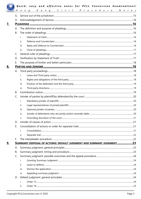|           | H         | Quick, easy and effective notes for PCLL Conversion Examinations!<br>Kong Civil Procedure Notes<br>$O$ n $q$ |  |  |  |  |  |  |  |  |  |
|-----------|-----------|--------------------------------------------------------------------------------------------------------------|--|--|--|--|--|--|--|--|--|
|           | G.        |                                                                                                              |  |  |  |  |  |  |  |  |  |
|           |           |                                                                                                              |  |  |  |  |  |  |  |  |  |
| <u>7.</u> |           |                                                                                                              |  |  |  |  |  |  |  |  |  |
|           | А.        |                                                                                                              |  |  |  |  |  |  |  |  |  |
|           | <b>B.</b> |                                                                                                              |  |  |  |  |  |  |  |  |  |
|           |           | i.                                                                                                           |  |  |  |  |  |  |  |  |  |
|           |           | ii.                                                                                                          |  |  |  |  |  |  |  |  |  |
|           |           | iii.                                                                                                         |  |  |  |  |  |  |  |  |  |
|           |           | iv.                                                                                                          |  |  |  |  |  |  |  |  |  |
|           | C.        |                                                                                                              |  |  |  |  |  |  |  |  |  |
|           | D.        |                                                                                                              |  |  |  |  |  |  |  |  |  |
|           | Ε.        |                                                                                                              |  |  |  |  |  |  |  |  |  |
| <u>8.</u> |           |                                                                                                              |  |  |  |  |  |  |  |  |  |
|           | А.        |                                                                                                              |  |  |  |  |  |  |  |  |  |
|           |           | i.                                                                                                           |  |  |  |  |  |  |  |  |  |
|           |           | ii.                                                                                                          |  |  |  |  |  |  |  |  |  |
|           |           | iii.                                                                                                         |  |  |  |  |  |  |  |  |  |
|           |           | iv.                                                                                                          |  |  |  |  |  |  |  |  |  |
|           | B.        |                                                                                                              |  |  |  |  |  |  |  |  |  |
|           | C.        |                                                                                                              |  |  |  |  |  |  |  |  |  |
|           |           | i.                                                                                                           |  |  |  |  |  |  |  |  |  |
|           |           | ii.                                                                                                          |  |  |  |  |  |  |  |  |  |
|           |           | iii.                                                                                                         |  |  |  |  |  |  |  |  |  |
|           |           | iv.                                                                                                          |  |  |  |  |  |  |  |  |  |
|           |           | v.                                                                                                           |  |  |  |  |  |  |  |  |  |
|           | D.        |                                                                                                              |  |  |  |  |  |  |  |  |  |
|           | Ε.        |                                                                                                              |  |  |  |  |  |  |  |  |  |
|           |           | i.                                                                                                           |  |  |  |  |  |  |  |  |  |
|           |           | ii.                                                                                                          |  |  |  |  |  |  |  |  |  |
|           | F.        |                                                                                                              |  |  |  |  |  |  |  |  |  |
| <u>9.</u> |           | SUMMARY DISPOSAL OF ACTIONS: DEFAULT JUDGMENT AND SUMMARY JUDGMENT23                                         |  |  |  |  |  |  |  |  |  |
|           | А.        |                                                                                                              |  |  |  |  |  |  |  |  |  |
|           | В.        |                                                                                                              |  |  |  |  |  |  |  |  |  |
|           | C.        |                                                                                                              |  |  |  |  |  |  |  |  |  |
|           |           | i.                                                                                                           |  |  |  |  |  |  |  |  |  |
|           |           | ii.                                                                                                          |  |  |  |  |  |  |  |  |  |
|           |           | iii.                                                                                                         |  |  |  |  |  |  |  |  |  |
|           |           | iv.                                                                                                          |  |  |  |  |  |  |  |  |  |
|           | D.        |                                                                                                              |  |  |  |  |  |  |  |  |  |
|           |           | i.                                                                                                           |  |  |  |  |  |  |  |  |  |
|           |           | ii.                                                                                                          |  |  |  |  |  |  |  |  |  |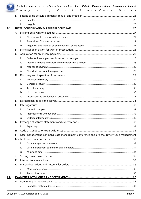| H         | Kong Civil Procedure Notes<br>$0$ $n$ $q$                                                |  |  |
|-----------|------------------------------------------------------------------------------------------|--|--|
| Е.        |                                                                                          |  |  |
|           | i.                                                                                       |  |  |
|           | ii.                                                                                      |  |  |
|           |                                                                                          |  |  |
|           |                                                                                          |  |  |
|           | i.                                                                                       |  |  |
|           | ii.                                                                                      |  |  |
|           | iii.                                                                                     |  |  |
| <b>B.</b> |                                                                                          |  |  |
| C.        |                                                                                          |  |  |
|           | i.                                                                                       |  |  |
|           | ii.                                                                                      |  |  |
|           | iii.                                                                                     |  |  |
|           | iv.                                                                                      |  |  |
| D.        |                                                                                          |  |  |
|           | i.                                                                                       |  |  |
|           | ii.                                                                                      |  |  |
|           | iii.                                                                                     |  |  |
|           | iv.                                                                                      |  |  |
|           | V.                                                                                       |  |  |
| Ε.        |                                                                                          |  |  |
| F.        |                                                                                          |  |  |
|           | i.                                                                                       |  |  |
|           | ii.                                                                                      |  |  |
|           | iii.                                                                                     |  |  |
| G.        |                                                                                          |  |  |
|           | i.                                                                                       |  |  |
| Η.        |                                                                                          |  |  |
| Ι.        | Case management summons, case management conference and pre-trial review Case management |  |  |
|           |                                                                                          |  |  |
|           | i.                                                                                       |  |  |
|           | ii.                                                                                      |  |  |
|           | iii.                                                                                     |  |  |
| J.        |                                                                                          |  |  |
| К.        |                                                                                          |  |  |
| L.        |                                                                                          |  |  |
|           | i.                                                                                       |  |  |
|           | ii.                                                                                      |  |  |
|           |                                                                                          |  |  |
|           |                                                                                          |  |  |
|           | i.                                                                                       |  |  |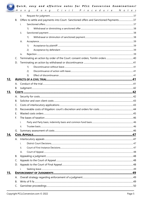|     |           |                                                                                       | Kong Civil Procedure Notes |  |  |  |  |  |  |  |  |
|-----|-----------|---------------------------------------------------------------------------------------|----------------------------|--|--|--|--|--|--|--|--|
|     |           | ii.                                                                                   |                            |  |  |  |  |  |  |  |  |
|     | B.        | Offers to settle and payments into Court- Sanctioned offers and Sanctioned Payments37 |                            |  |  |  |  |  |  |  |  |
|     |           | i.                                                                                    |                            |  |  |  |  |  |  |  |  |
|     |           | 1)                                                                                    |                            |  |  |  |  |  |  |  |  |
|     |           | ii.                                                                                   |                            |  |  |  |  |  |  |  |  |
|     |           | 1)                                                                                    |                            |  |  |  |  |  |  |  |  |
|     |           | iii.                                                                                  |                            |  |  |  |  |  |  |  |  |
|     |           | 1)                                                                                    |                            |  |  |  |  |  |  |  |  |
|     |           | 2)                                                                                    |                            |  |  |  |  |  |  |  |  |
|     |           | iv.                                                                                   |                            |  |  |  |  |  |  |  |  |
|     | C.        |                                                                                       |                            |  |  |  |  |  |  |  |  |
|     | D.        |                                                                                       |                            |  |  |  |  |  |  |  |  |
|     |           | $\left( \begin{matrix} 1 \end{matrix} \right)$                                        |                            |  |  |  |  |  |  |  |  |
|     |           | (2)                                                                                   |                            |  |  |  |  |  |  |  |  |
|     |           | 3)                                                                                    |                            |  |  |  |  |  |  |  |  |
| 12. |           |                                                                                       |                            |  |  |  |  |  |  |  |  |
|     |           |                                                                                       |                            |  |  |  |  |  |  |  |  |
|     | В.        |                                                                                       |                            |  |  |  |  |  |  |  |  |
| 13. |           |                                                                                       |                            |  |  |  |  |  |  |  |  |
|     | А.        |                                                                                       |                            |  |  |  |  |  |  |  |  |
|     | <b>B.</b> |                                                                                       |                            |  |  |  |  |  |  |  |  |
|     | C.        |                                                                                       |                            |  |  |  |  |  |  |  |  |
|     |           |                                                                                       |                            |  |  |  |  |  |  |  |  |
|     | E.        |                                                                                       |                            |  |  |  |  |  |  |  |  |
|     | F.        |                                                                                       |                            |  |  |  |  |  |  |  |  |
|     |           | i.                                                                                    |                            |  |  |  |  |  |  |  |  |
|     |           | ii.                                                                                   |                            |  |  |  |  |  |  |  |  |
|     | G.        |                                                                                       |                            |  |  |  |  |  |  |  |  |
| 14. |           |                                                                                       |                            |  |  |  |  |  |  |  |  |
|     |           |                                                                                       |                            |  |  |  |  |  |  |  |  |
|     |           | i.                                                                                    |                            |  |  |  |  |  |  |  |  |
|     |           | ii.                                                                                   |                            |  |  |  |  |  |  |  |  |
|     |           | iii.                                                                                  |                            |  |  |  |  |  |  |  |  |
|     | В.        |                                                                                       |                            |  |  |  |  |  |  |  |  |
|     | C.        |                                                                                       |                            |  |  |  |  |  |  |  |  |
|     |           |                                                                                       |                            |  |  |  |  |  |  |  |  |
|     |           | i.                                                                                    |                            |  |  |  |  |  |  |  |  |
| 15. |           |                                                                                       |                            |  |  |  |  |  |  |  |  |
|     | Α.        |                                                                                       |                            |  |  |  |  |  |  |  |  |
|     | <b>B.</b> |                                                                                       |                            |  |  |  |  |  |  |  |  |
|     |           |                                                                                       |                            |  |  |  |  |  |  |  |  |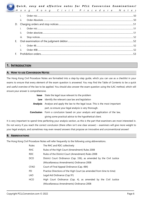*Quick, easy and effective notes for PCLL Conversion Examinations!* 

| Н  | ο   | n | a |  | K on g |  |  |  |  |  |  |  | Civil Procedure Not |  |  |  |
|----|-----|---|---|--|--------|--|--|--|--|--|--|--|---------------------|--|--|--|
|    |     |   |   |  |        |  |  |  |  |  |  |  |                     |  |  |  |
|    | ii. |   |   |  |        |  |  |  |  |  |  |  |                     |  |  |  |
| D. |     |   |   |  |        |  |  |  |  |  |  |  |                     |  |  |  |
|    |     |   |   |  |        |  |  |  |  |  |  |  |                     |  |  |  |
|    | ii. |   |   |  |        |  |  |  |  |  |  |  |                     |  |  |  |
|    | Ш.  |   |   |  |        |  |  |  |  |  |  |  |                     |  |  |  |
| Е. |     |   |   |  |        |  |  |  |  |  |  |  |                     |  |  |  |
|    |     |   |   |  |        |  |  |  |  |  |  |  |                     |  |  |  |
|    | Ìİ. |   |   |  |        |  |  |  |  |  |  |  |                     |  |  |  |
|    |     |   |   |  |        |  |  |  |  |  |  |  |                     |  |  |  |

#### **1. INTRODUCTION**

#### **A. HOW TO USE CONVERSION NOTES**

The Hong Kong Civil Procedure Notes are formatted into a step-by-step guide, which you can use as a checklist in your exams to ensure that every element of the exam question is answered. You may find the Table of Contents to be a quick and useful overview of the law to be applied. You should also answer the exam question using the ILAC method, which will ensure your answer is comprehensive.

| Issue           | State the legal issue relevant to the problem                            |
|-----------------|--------------------------------------------------------------------------|
| Law             | Identify the relevant case law and legislation                           |
| <b>Analysis</b> | Analyse and apply the law to the legal issue. This is the most important |
|                 | part, so ensure your legal analysis is very thorough.                    |
| Conclusion      | Form a conclusion based on your analysis and application of the law,     |
|                 | giving some practical advice to the hypothetical client.                 |
|                 |                                                                          |

It is very important to spend time perfecting your analysis section, as this is the part that examiners are most interested in. Do not worry if you reach the correct conclusion (there often isn't one clear answer) – examiners will give more weight to your legal analysis, and sometimes may even reward answers that propose an innovative and unconventional answer!

#### **B. ABBREVIATIONS**

The Hong Kong Civil Procedure Notes will refer frequently to the following using abbreviations.

| Rules       | The RHC and RDC collectively                                         |  |  |  |  |  |  |  |  |
|-------------|----------------------------------------------------------------------|--|--|--|--|--|--|--|--|
| RHC         | Rules of the High Court (Amendment) Rules 2008                       |  |  |  |  |  |  |  |  |
| RDC         | Rules of the District Court (Amendment) Rules 2008                   |  |  |  |  |  |  |  |  |
| DCO         | District Court Ordinance (Cap. 336), as amended by the Civil Justice |  |  |  |  |  |  |  |  |
|             | (Miscellaneous Amendments) Ordinance 2008                            |  |  |  |  |  |  |  |  |
| <b>CFAO</b> | Court of Final Appeal Ordinance (Cap. 484)                           |  |  |  |  |  |  |  |  |
| PD.         | Practice Directions of the High Court (as amended from time to time) |  |  |  |  |  |  |  |  |
| <b>LAO</b>  | Legal Aid Ordinance (Cap 91)                                         |  |  |  |  |  |  |  |  |
| <b>HCO</b>  | High Court Ordinance (Cap. 4), as amended by the Civil Justice       |  |  |  |  |  |  |  |  |
|             | (Miscellaneous Amendments) Ordinance 2008                            |  |  |  |  |  |  |  |  |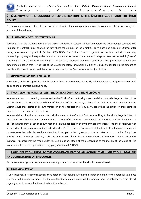

### **2. OVERVIEW OF THE CONDUCT OF CIVIL LITIGATION IN THE DISTRICT COURT AND THE HIGH COURT**

Before commencing an action, it is necessary to determine the most appropriate court to commence the action taking into account of the following.

#### **A. JURISDICTION OF THE DISTRICT COURT**

Section 32(1) of the DCO provides that the District Court has jurisdiction to hear and determine any action (or counterclaim) founded on contract, quasi-contract or tort where the amount of the plaintiff's claim does not exceed \$1,000,000 after taking into account any set-off (section 32(2) DCO). The District Court has jurisdiction to hear and determine any proceedings by way of interpleader in which the amount or value of the matter in dispute does not exceed \$1,000,000 (section 32(3) DCO). However section 34(1) of the DCO provides that the District Court has jurisdiction to hear and determine an action that is in excess of the Court's monetary jurisdiction limit on the plaintiff abandoning the amount of the plaintiff's claim in excess and the action is one in which the Court otherwise has jurisdiction.

#### **B. JURISDICTION OF THE HIGH COURT**

Section 3(2) of the HCO provides that the Court of First Instance enjoys financially unlimited original civil jurisdiction over all persons and all matters in Hong Kong.

#### **C. TRANSFER OF AN ACTION BETWEEN THE DISTRICT COURT AND THE HIGH COURT**

Where an action or proceeding commenced in the District Court, not being a counterclaim, is outside the jurisdiction of the District Court but is within the jurisdiction of the Court of First Instance, sections 41 and 42 of the DCO provide that the District Court shall, either of its own motion or on the application of any party, order that the action or proceeding be transferred to the Court of First Instance.

Where a claim, other than a counterclaim, which appears to the Court of First Instance likely to be within the jurisdiction of the District Court but has been commenced in the Court of First Instances, section 43(1) of the DCO provides that the Court of First Instance may, either of its own motion or on the application of any party, order the transfer to the District Court of all or part of the action or proceeding. Indeed, section 43(3) of the DCO provides that The Court of First Instance is required to make an order under this section unless it is of the opinion that, by reason of the importance or complexity of any issue arising in the action or proceeding, or for any other reason, the action or proceeding ought to remain in the Court of First Instance. An order may be made under this section at any stage of the proceedings of the motion of the Court of First Instance itself or on the application of any party (Section 43(2) DCO).

## **3. CONSIDERATION PRIOR TO THE COMMENCEMENT OF AN ACTION: TIME LIMITATION, LEGAL AID AND JURISDICTION OF THE COURTS**

Before commencing an action, there are many important considerations that should be considered.

#### **A. LIMITATION PERIOD**

A very important pre-commencement consideration is identifying whether the limitation period for the potential action has expired or will be expiring soon. If it is the case that the limitation period will be expiring soon, the solicitor has a duty to act urgently so as to ensure that the action is not time-barred.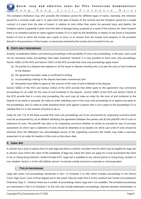The Limitation Ordinance (Cap 347) provides the limitation period for different types of claims. Generally, the limitation period for a contract under seal is 12 years from the date of breach of the contract and the limitation period for a simple contract is 6 years from the date of breach. In relation to torts (other than claims for personal injury and deaths), the limitation period is generally 6 years from the date of damage being sustained as a result of the tortious act. Note however there is no limitation period on claims against trustees if it is a claim by the beneficiary in respect of any fraud or fraudulent breach of trust to which the trustee was a party or privy; or to recover from the trustee trust property or the proceeds thereof in the possession of the trustee, or previously received by the trustee and converted to his use.

#### **B. COSTS ONLY PROCEEDINGS**

Another consideration before commencing proceedings is the possibility of costs only proceedings. In the past, costs could not be recovered unless proceedings have been instituted. However it is now possible to have costs only proceedings. Section 52B(1) of the HCO and Section 53A(1) of the DCO provide that costs only proceedings apply where:

- (a) the parties to a dispute have agreed on all the issues in dispute including who is to pay the costs of and incidental to the dispute;
- (b) the agreement has been made or confirmed in writing;
- (c) no proceedings relating to the dispute have been commenced; and
- (d) the parties have failed to agree on the amount of the costs of and incidental to the dispute.

Section 52B(2) of the HCO and Section 53A(2) of the DCO provide that either party to the agreement may commence proceedings for an order for the costs of and incidental to the dispute. Section 52B(3) of the HCO and Section 53A(3) of the DCO provide that in a costs only proceeding, the court may (a) make an order for the costs of and incidental to the dispute to be taxed or assessed; (b) make an order awarding costs of the costs only proceedings to or against any party to the proceedings; and (c) make an order awarding those costs against a person who is not a party to the proceedings if it is satisfied that it is in the interests of justice to do so.

Order 62 rule 11A of the Rules provide that costs only proceedings are to be commenced by originating summons which must be accompanied by: (a) an affidavit exhibiting the agreement between the parties; and (b) the plaintiff's bill of costs or statement of costs. The plaintiff may elect in his originating summons whether he wishes to proceed by way of summary assessment (in which case a statement of costs should be attached) or by taxation (in which case a bill of costs should be attached. Once the defendant has acknowledged service of the originating summons, the master may make a summary assessment or an order for taxation of the costs on the return date.

#### **C. LEGAL AID**

A solicitor has a duty to advise client to seek legal aid where a solicitor considers that his client may be eligible for legal aid. A solicitor must inform the client of the availability of legal aid, where the client can apply for it and recommend the client to do so (Hong Kong Solicitors' Guide Principle 4.01). Legal aid is available to any natural person in Hong Kong, resident or non-resident. Section 2 of the LAO defines 'person' to exclude a body of persons corporate or unincorporated.

#### i. **TYPE OF PROCEEDINGS**

Legal Aid covers civil proceedings mentioned in Part I of Schedule 2 to LAO which includes proceedings in the District Court, High Court, Court of Final Appeal and in the Lands Tribunal under Part II of the Landlord and Tenant (Consolidation) Ordinance (Cap 7). However there are a number of proceedings where Legal aid is not available. The excluded proceedings are mentioned in Part II of Schedule 2 to the LAO and include defamation proceedings, disputes between shareholders or